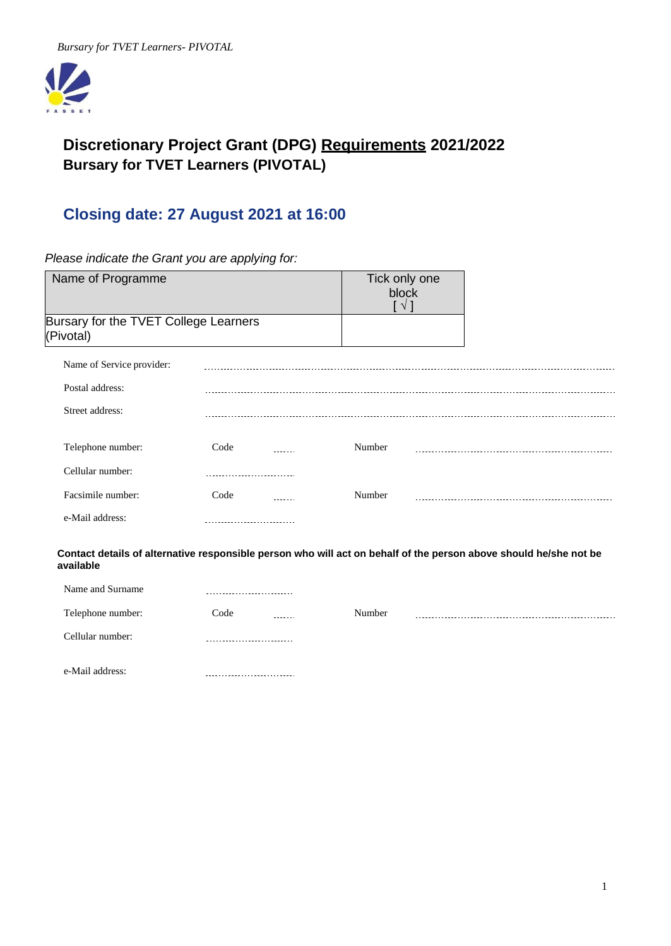

# **Discretionary Project Grant (DPG) Requirements 2021/2022 Bursary for TVET Learners (PIVOTAL)**

# **Closing date: 27 August 2021 at 16:00**

*Please indicate the Grant you are applying for:*

| Name of Programme                                  |                            | Tick only one<br>block<br>$\sqrt{1}$ |                                                                                                                   |
|----------------------------------------------------|----------------------------|--------------------------------------|-------------------------------------------------------------------------------------------------------------------|
| Bursary for the TVET College Learners<br>(Pivotal) |                            |                                      |                                                                                                                   |
| Name of Service provider:                          |                            |                                      |                                                                                                                   |
| Postal address:                                    |                            |                                      |                                                                                                                   |
| Street address:                                    |                            |                                      |                                                                                                                   |
| Telephone number:                                  | Code                       | Number                               |                                                                                                                   |
| Cellular number:                                   |                            |                                      |                                                                                                                   |
| Facsimile number:                                  | Code                       | Number                               |                                                                                                                   |
| e-Mail address:                                    |                            |                                      |                                                                                                                   |
| available                                          |                            |                                      | Contact details of alternative responsible person who will act on behalf of the person above should he/she not be |
| Name and Surname                                   | .                          |                                      |                                                                                                                   |
| Telephone number:                                  | Code                       | Number                               |                                                                                                                   |
| Cellular number:                                   | -------------------------- |                                      |                                                                                                                   |

e-Mail address:----------------------------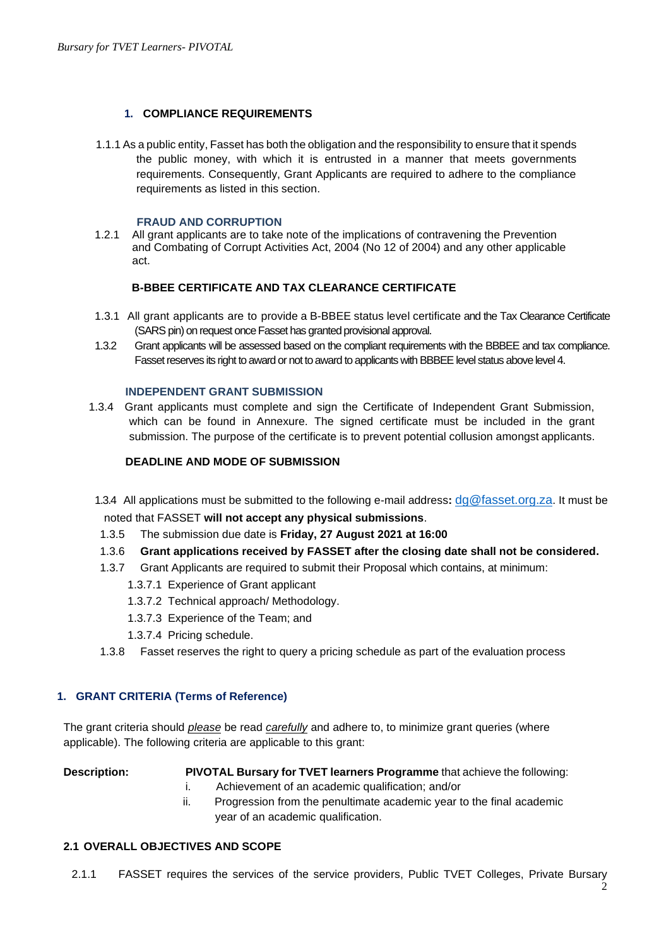# **1. COMPLIANCE REQUIREMENTS**

1.1.1 As a public entity, Fasset has both the obligation and the responsibility to ensure that it spends the public money, with which it is entrusted in a manner that meets governments requirements. Consequently, Grant Applicants are required to adhere to the compliance requirements as listed in this section.

#### **FRAUD AND CORRUPTION**

1.2.1 All grant applicants are to take note of the implications of contravening the Prevention and Combating of Corrupt Activities Act, 2004 (No 12 of 2004) and any other applicable act.

## **B-BBEE CERTIFICATE AND TAX CLEARANCE CERTIFICATE**

- 1.3.1 All grant applicants are to provide a B-BBEE status level certificate and the Tax Clearance Certificate (SARS pin) on request once Fasset has granted provisional approval.
- 1.3.2 Grant applicants will be assessed based on the compliant requirements with the BBBEE and tax compliance. Fasset reserves its right to award or not to award to applicants with BBBEE level status above level 4.

#### **INDEPENDENT GRANT SUBMISSION**

1.3.4 Grant applicants must complete and sign the Certificate of Independent Grant Submission, which can be found in Annexure. The signed certificate must be included in the grant submission. The purpose of the certificate is to prevent potential collusion amongst applicants.

## **DEADLINE AND MODE OF SUBMISSION**

- 1.3.4 All applications must be submitted to the following e-mail address**:** [dg@fasset.org.za](mailto:dg@fasset.org.za). It must be noted that FASSET **will not accept any physical submissions**.
- 1.3.5 The submission due date is **Friday, 27 August 2021 at 16:00**
- 1.3.6 **Grant applications received by FASSET after the closing date shall not be considered.**
- 1.3.7 Grant Applicants are required to submit their Proposal which contains, at minimum:
	- 1.3.7.1 Experience of Grant applicant
	- 1.3.7.2 Technical approach/ Methodology.
	- 1.3.7.3 Experience of the Team; and
	- 1.3.7.4 Pricing schedule.
- 1.3.8 Fasset reserves the right to query a pricing schedule as part of the evaluation process

## **1. GRANT CRITERIA (Terms of Reference)**

The grant criteria should *please* be read *carefully* and adhere to, to minimize grant queries (where applicable). The following criteria are applicable to this grant:

**Description: PIVOTAL Bursary for TVET learners Programme** that achieve the following:

- i. Achievement of an academic qualification; and/or
- ii. Progression from the penultimate academic year to the final academic year of an academic qualification.

## **2.1 OVERALL OBJECTIVES AND SCOPE**

2.1.1 FASSET requires the services of the service providers, Public TVET Colleges, Private Bursary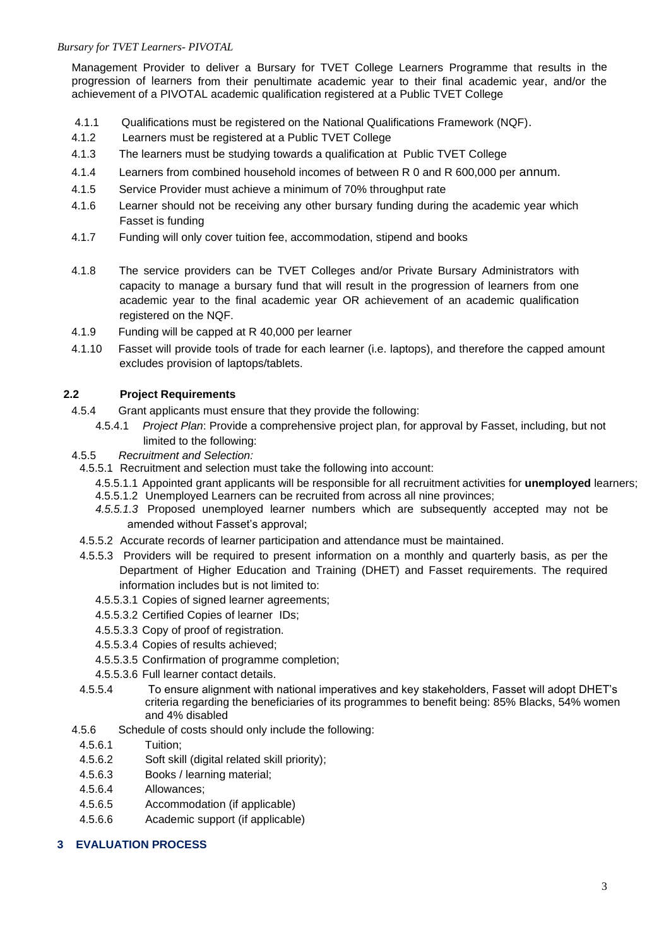## *Bursary for TVET Learners- PIVOTAL*

Management Provider to deliver a Bursary for TVET College Learners Programme that results in the progression of learners from their penultimate academic year to their final academic year, and/or the achievement of a PIVOTAL academic qualification registered at a Public TVET College

- 4.1.1 Qualifications must be registered on the National Qualifications Framework (NQF).
- 4.1.2 Learners must be registered at a Public TVET College
- 4.1.3 The learners must be studying towards a qualification at Public TVET College
- 4.1.4 Learners from combined household incomes of between R 0 and R 600,000 per annum.
- 4.1.5 Service Provider must achieve a minimum of 70% throughput rate
- 4.1.6 Learner should not be receiving any other bursary funding during the academic year which Fasset is funding
- 4.1.7 Funding will only cover tuition fee, accommodation, stipend and books
- 4.1.8 The service providers can be TVET Colleges and/or Private Bursary Administrators with capacity to manage a bursary fund that will result in the progression of learners from one academic year to the final academic year OR achievement of an academic qualification registered on the NQF.
- 4.1.9 Funding will be capped at R 40,000 per learner
- 4.1.10 Fasset will provide tools of trade for each learner (i.e. laptops), and therefore the capped amount excludes provision of laptops/tablets.

# **2.2 Project Requirements**

- 4.5.4 Grant applicants must ensure that they provide the following:
	- 4.5.4.1 *Project Plan*: Provide a comprehensive project plan, for approval by Fasset, including, but not limited to the following:
- 4.5.5 *Recruitment and Selection:*
	- 4.5.5.1 Recruitment and selection must take the following into account:
		- 4.5.5.1.1 Appointed grant applicants will be responsible for all recruitment activities for **unemployed** learners;
		- 4.5.5.1.2 Unemployed Learners can be recruited from across all nine provinces;
		- *4.5.5.1.3* Proposed unemployed learner numbers which are subsequently accepted may not be amended without Fasset's approval;
- 4.5.5.2 Accurate records of learner participation and attendance must be maintained.
- 4.5.5.3 Providers will be required to present information on a monthly and quarterly basis, as per the Department of Higher Education and Training (DHET) and Fasset requirements. The required information includes but is not limited to:
	- 4.5.5.3.1 Copies of signed learner agreements;
	- 4.5.5.3.2 Certified Copies of learner IDs;
	- 4.5.5.3.3 Copy of proof of registration.
	- 4.5.5.3.4 Copies of results achieved;
	- 4.5.5.3.5 Confirmation of programme completion;
	- 4.5.5.3.6 Full learner contact details.
- 4.5.5.4 To ensure alignment with national imperatives and key stakeholders, Fasset will adopt DHET's criteria regarding the beneficiaries of its programmes to benefit being: 85% Blacks, 54% women and 4% disabled
- 4.5.6 Schedule of costs should only include the following:
	- 4.5.6.1 Tuition;
	- 4.5.6.2 Soft skill (digital related skill priority);
- 4.5.6.3 Books / learning material;
- 4.5.6.4 Allowances;
- 4.5.6.5 Accommodation (if applicable)
- 4.5.6.6 Academic support (if applicable)

## **3 EVALUATION PROCESS**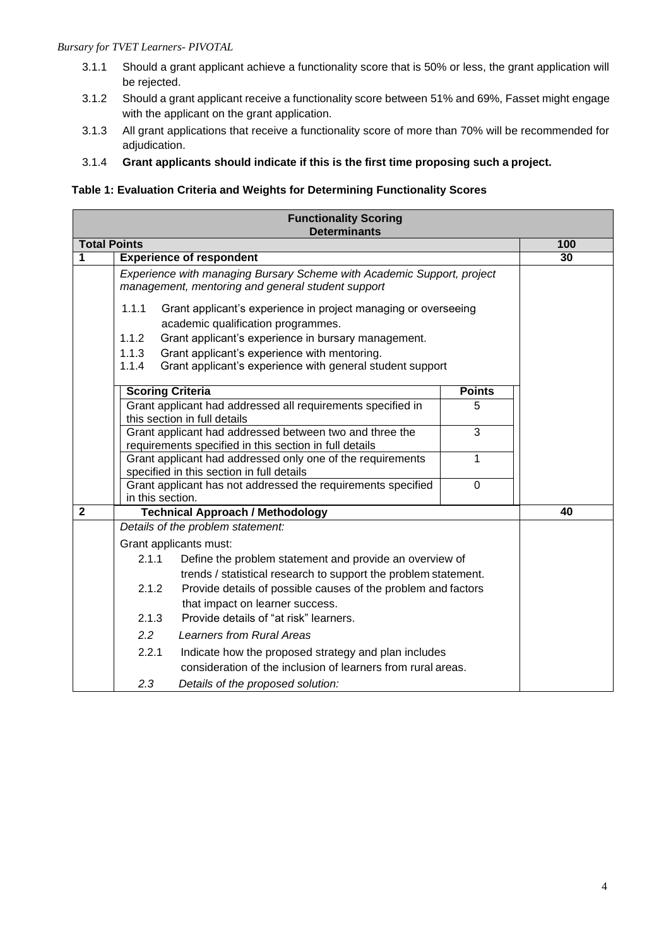## *Bursary for TVET Learners- PIVOTAL*

- 3.1.1 Should a grant applicant achieve a functionality score that is 50% or less, the grant application will be rejected.
- 3.1.2 Should a grant applicant receive a functionality score between 51% and 69%, Fasset might engage with the applicant on the grant application.
- 3.1.3 All grant applications that receive a functionality score of more than 70% will be recommended for adjudication.
- 3.1.4 **Grant applicants should indicate if this is the first time proposing such a project.**

# **Table 1: Evaluation Criteria and Weights for Determining Functionality Scores**

|                     |                                                                                                                                     | <b>Functionality Scoring</b><br><b>Determinants</b>                                                                        |               |     |
|---------------------|-------------------------------------------------------------------------------------------------------------------------------------|----------------------------------------------------------------------------------------------------------------------------|---------------|-----|
| <b>Total Points</b> |                                                                                                                                     |                                                                                                                            |               | 100 |
| 1                   | <b>Experience of respondent</b>                                                                                                     |                                                                                                                            |               |     |
|                     |                                                                                                                                     |                                                                                                                            |               |     |
|                     | 1.1.1                                                                                                                               | Grant applicant's experience in project managing or overseeing<br>academic qualification programmes.                       |               |     |
|                     | 1.1.2                                                                                                                               | Grant applicant's experience in bursary management.                                                                        |               |     |
|                     | 1.1.3<br>1.1.4                                                                                                                      | Grant applicant's experience with mentoring.<br>Grant applicant's experience with general student support                  |               |     |
|                     | <b>Scoring Criteria</b>                                                                                                             |                                                                                                                            | <b>Points</b> |     |
|                     |                                                                                                                                     | Grant applicant had addressed all requirements specified in<br>this section in full details                                | 5             |     |
|                     | $\overline{3}$<br>Grant applicant had addressed between two and three the<br>requirements specified in this section in full details |                                                                                                                            |               |     |
|                     | 1<br>Grant applicant had addressed only one of the requirements<br>specified in this section in full details                        |                                                                                                                            |               |     |
|                     | Grant applicant has not addressed the requirements specified<br>$\mathbf 0$<br>in this section.                                     |                                                                                                                            |               |     |
| $\mathbf{2}$        |                                                                                                                                     | <b>Technical Approach / Methodology</b>                                                                                    |               | 40  |
|                     |                                                                                                                                     | Details of the problem statement:                                                                                          |               |     |
|                     |                                                                                                                                     | Grant applicants must:                                                                                                     |               |     |
|                     | 2.1.1                                                                                                                               | Define the problem statement and provide an overview of<br>trends / statistical research to support the problem statement. |               |     |
|                     | 2.1.2                                                                                                                               | Provide details of possible causes of the problem and factors                                                              |               |     |
|                     | 2.1.3                                                                                                                               | that impact on learner success.<br>Provide details of "at risk" learners.                                                  |               |     |
|                     | 2.2<br><b>Learners from Rural Areas</b>                                                                                             |                                                                                                                            |               |     |
|                     | 2.2.1                                                                                                                               | Indicate how the proposed strategy and plan includes<br>consideration of the inclusion of learners from rural areas.       |               |     |
|                     | 2.3                                                                                                                                 | Details of the proposed solution:                                                                                          |               |     |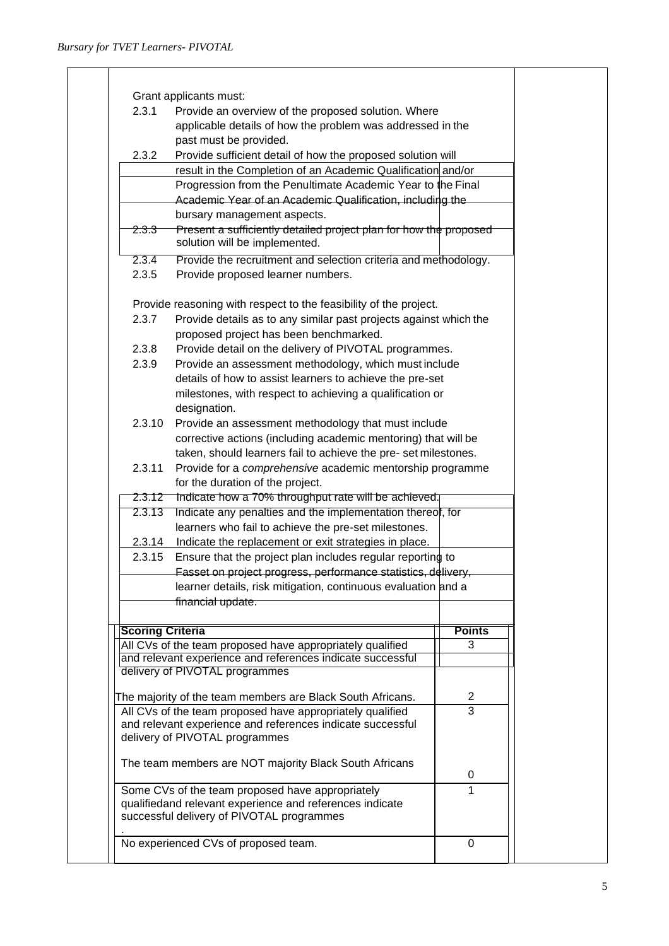| applicable details of how the problem was addressed in the<br>past must be provided.<br>2.3.2<br>Provide sufficient detail of how the proposed solution will<br>result in the Completion of an Academic Qualification and/or<br>Progression from the Penultimate Academic Year to the Final<br>Academic Year of an Academic Qualification, including the<br>bursary management aspects.<br>Present a sufficiently detailed project plan for how the proposed<br><del>2.3.3</del><br>solution will be implemented.<br>2.3.4<br>Provide the recruitment and selection criteria and methodology.<br>2.3.5<br>Provide proposed learner numbers.<br>Provide reasoning with respect to the feasibility of the project.<br>Provide details as to any similar past projects against which the<br>2.3.7<br>proposed project has been benchmarked.<br>Provide detail on the delivery of PIVOTAL programmes.<br>2.3.8<br>2.3.9<br>Provide an assessment methodology, which must include<br>details of how to assist learners to achieve the pre-set<br>milestones, with respect to achieving a qualification or<br>designation.<br>2.3.10<br>Provide an assessment methodology that must include<br>corrective actions (including academic mentoring) that will be<br>taken, should learners fail to achieve the pre- set milestones.<br>2.3.11<br>Provide for a comprehensive academic mentorship programme<br>for the duration of the project.<br>Indicate how a 70% throughput rate will be achieved.<br>2.3.12<br>Indicate any penalties and the implementation thereof, for<br>2.3.13<br>learners who fail to achieve the pre-set milestones.<br>Indicate the replacement or exit strategies in place.<br>2.3.14<br>Ensure that the project plan includes regular reporting to<br>2.3.15<br>Fasset on project progress, performance statistics, delivery,<br>learner details, risk mitigation, continuous evaluation and a<br>financial update.<br><b>Points</b><br><b>Scoring Criteria</b><br>All CVs of the team proposed have appropriately qualified<br>3<br>and relevant experience and references indicate successful<br>delivery of PIVOTAL programmes<br>2<br>The majority of the team members are Black South Africans.<br>$\overline{3}$<br>All CVs of the team proposed have appropriately qualified<br>and relevant experience and references indicate successful<br>delivery of PIVOTAL programmes<br>The team members are NOT majority Black South Africans<br>0<br>Some CVs of the team proposed have appropriately<br>1<br>qualifiedand relevant experience and references indicate<br>successful delivery of PIVOTAL programmes | 2.3.1<br>Provide an overview of the proposed solution. Where |  |  |  |  |
|--------------------------------------------------------------------------------------------------------------------------------------------------------------------------------------------------------------------------------------------------------------------------------------------------------------------------------------------------------------------------------------------------------------------------------------------------------------------------------------------------------------------------------------------------------------------------------------------------------------------------------------------------------------------------------------------------------------------------------------------------------------------------------------------------------------------------------------------------------------------------------------------------------------------------------------------------------------------------------------------------------------------------------------------------------------------------------------------------------------------------------------------------------------------------------------------------------------------------------------------------------------------------------------------------------------------------------------------------------------------------------------------------------------------------------------------------------------------------------------------------------------------------------------------------------------------------------------------------------------------------------------------------------------------------------------------------------------------------------------------------------------------------------------------------------------------------------------------------------------------------------------------------------------------------------------------------------------------------------------------------------------------------------------------------------------------------------------------------------------------------------------------------------------------------------------------------------------------------------------------------------------------------------------------------------------------------------------------------------------------------------------------------------------------------------------------------------------------------------------------------------------------------------------------------------------------------------------------------------------------------------------------|--------------------------------------------------------------|--|--|--|--|
|                                                                                                                                                                                                                                                                                                                                                                                                                                                                                                                                                                                                                                                                                                                                                                                                                                                                                                                                                                                                                                                                                                                                                                                                                                                                                                                                                                                                                                                                                                                                                                                                                                                                                                                                                                                                                                                                                                                                                                                                                                                                                                                                                                                                                                                                                                                                                                                                                                                                                                                                                                                                                                            |                                                              |  |  |  |  |
|                                                                                                                                                                                                                                                                                                                                                                                                                                                                                                                                                                                                                                                                                                                                                                                                                                                                                                                                                                                                                                                                                                                                                                                                                                                                                                                                                                                                                                                                                                                                                                                                                                                                                                                                                                                                                                                                                                                                                                                                                                                                                                                                                                                                                                                                                                                                                                                                                                                                                                                                                                                                                                            |                                                              |  |  |  |  |
|                                                                                                                                                                                                                                                                                                                                                                                                                                                                                                                                                                                                                                                                                                                                                                                                                                                                                                                                                                                                                                                                                                                                                                                                                                                                                                                                                                                                                                                                                                                                                                                                                                                                                                                                                                                                                                                                                                                                                                                                                                                                                                                                                                                                                                                                                                                                                                                                                                                                                                                                                                                                                                            |                                                              |  |  |  |  |
|                                                                                                                                                                                                                                                                                                                                                                                                                                                                                                                                                                                                                                                                                                                                                                                                                                                                                                                                                                                                                                                                                                                                                                                                                                                                                                                                                                                                                                                                                                                                                                                                                                                                                                                                                                                                                                                                                                                                                                                                                                                                                                                                                                                                                                                                                                                                                                                                                                                                                                                                                                                                                                            |                                                              |  |  |  |  |
|                                                                                                                                                                                                                                                                                                                                                                                                                                                                                                                                                                                                                                                                                                                                                                                                                                                                                                                                                                                                                                                                                                                                                                                                                                                                                                                                                                                                                                                                                                                                                                                                                                                                                                                                                                                                                                                                                                                                                                                                                                                                                                                                                                                                                                                                                                                                                                                                                                                                                                                                                                                                                                            |                                                              |  |  |  |  |
|                                                                                                                                                                                                                                                                                                                                                                                                                                                                                                                                                                                                                                                                                                                                                                                                                                                                                                                                                                                                                                                                                                                                                                                                                                                                                                                                                                                                                                                                                                                                                                                                                                                                                                                                                                                                                                                                                                                                                                                                                                                                                                                                                                                                                                                                                                                                                                                                                                                                                                                                                                                                                                            |                                                              |  |  |  |  |
|                                                                                                                                                                                                                                                                                                                                                                                                                                                                                                                                                                                                                                                                                                                                                                                                                                                                                                                                                                                                                                                                                                                                                                                                                                                                                                                                                                                                                                                                                                                                                                                                                                                                                                                                                                                                                                                                                                                                                                                                                                                                                                                                                                                                                                                                                                                                                                                                                                                                                                                                                                                                                                            |                                                              |  |  |  |  |
|                                                                                                                                                                                                                                                                                                                                                                                                                                                                                                                                                                                                                                                                                                                                                                                                                                                                                                                                                                                                                                                                                                                                                                                                                                                                                                                                                                                                                                                                                                                                                                                                                                                                                                                                                                                                                                                                                                                                                                                                                                                                                                                                                                                                                                                                                                                                                                                                                                                                                                                                                                                                                                            |                                                              |  |  |  |  |
|                                                                                                                                                                                                                                                                                                                                                                                                                                                                                                                                                                                                                                                                                                                                                                                                                                                                                                                                                                                                                                                                                                                                                                                                                                                                                                                                                                                                                                                                                                                                                                                                                                                                                                                                                                                                                                                                                                                                                                                                                                                                                                                                                                                                                                                                                                                                                                                                                                                                                                                                                                                                                                            |                                                              |  |  |  |  |
|                                                                                                                                                                                                                                                                                                                                                                                                                                                                                                                                                                                                                                                                                                                                                                                                                                                                                                                                                                                                                                                                                                                                                                                                                                                                                                                                                                                                                                                                                                                                                                                                                                                                                                                                                                                                                                                                                                                                                                                                                                                                                                                                                                                                                                                                                                                                                                                                                                                                                                                                                                                                                                            |                                                              |  |  |  |  |
|                                                                                                                                                                                                                                                                                                                                                                                                                                                                                                                                                                                                                                                                                                                                                                                                                                                                                                                                                                                                                                                                                                                                                                                                                                                                                                                                                                                                                                                                                                                                                                                                                                                                                                                                                                                                                                                                                                                                                                                                                                                                                                                                                                                                                                                                                                                                                                                                                                                                                                                                                                                                                                            |                                                              |  |  |  |  |
|                                                                                                                                                                                                                                                                                                                                                                                                                                                                                                                                                                                                                                                                                                                                                                                                                                                                                                                                                                                                                                                                                                                                                                                                                                                                                                                                                                                                                                                                                                                                                                                                                                                                                                                                                                                                                                                                                                                                                                                                                                                                                                                                                                                                                                                                                                                                                                                                                                                                                                                                                                                                                                            |                                                              |  |  |  |  |
|                                                                                                                                                                                                                                                                                                                                                                                                                                                                                                                                                                                                                                                                                                                                                                                                                                                                                                                                                                                                                                                                                                                                                                                                                                                                                                                                                                                                                                                                                                                                                                                                                                                                                                                                                                                                                                                                                                                                                                                                                                                                                                                                                                                                                                                                                                                                                                                                                                                                                                                                                                                                                                            |                                                              |  |  |  |  |
|                                                                                                                                                                                                                                                                                                                                                                                                                                                                                                                                                                                                                                                                                                                                                                                                                                                                                                                                                                                                                                                                                                                                                                                                                                                                                                                                                                                                                                                                                                                                                                                                                                                                                                                                                                                                                                                                                                                                                                                                                                                                                                                                                                                                                                                                                                                                                                                                                                                                                                                                                                                                                                            |                                                              |  |  |  |  |
|                                                                                                                                                                                                                                                                                                                                                                                                                                                                                                                                                                                                                                                                                                                                                                                                                                                                                                                                                                                                                                                                                                                                                                                                                                                                                                                                                                                                                                                                                                                                                                                                                                                                                                                                                                                                                                                                                                                                                                                                                                                                                                                                                                                                                                                                                                                                                                                                                                                                                                                                                                                                                                            |                                                              |  |  |  |  |
|                                                                                                                                                                                                                                                                                                                                                                                                                                                                                                                                                                                                                                                                                                                                                                                                                                                                                                                                                                                                                                                                                                                                                                                                                                                                                                                                                                                                                                                                                                                                                                                                                                                                                                                                                                                                                                                                                                                                                                                                                                                                                                                                                                                                                                                                                                                                                                                                                                                                                                                                                                                                                                            |                                                              |  |  |  |  |
|                                                                                                                                                                                                                                                                                                                                                                                                                                                                                                                                                                                                                                                                                                                                                                                                                                                                                                                                                                                                                                                                                                                                                                                                                                                                                                                                                                                                                                                                                                                                                                                                                                                                                                                                                                                                                                                                                                                                                                                                                                                                                                                                                                                                                                                                                                                                                                                                                                                                                                                                                                                                                                            |                                                              |  |  |  |  |
|                                                                                                                                                                                                                                                                                                                                                                                                                                                                                                                                                                                                                                                                                                                                                                                                                                                                                                                                                                                                                                                                                                                                                                                                                                                                                                                                                                                                                                                                                                                                                                                                                                                                                                                                                                                                                                                                                                                                                                                                                                                                                                                                                                                                                                                                                                                                                                                                                                                                                                                                                                                                                                            |                                                              |  |  |  |  |
|                                                                                                                                                                                                                                                                                                                                                                                                                                                                                                                                                                                                                                                                                                                                                                                                                                                                                                                                                                                                                                                                                                                                                                                                                                                                                                                                                                                                                                                                                                                                                                                                                                                                                                                                                                                                                                                                                                                                                                                                                                                                                                                                                                                                                                                                                                                                                                                                                                                                                                                                                                                                                                            |                                                              |  |  |  |  |
|                                                                                                                                                                                                                                                                                                                                                                                                                                                                                                                                                                                                                                                                                                                                                                                                                                                                                                                                                                                                                                                                                                                                                                                                                                                                                                                                                                                                                                                                                                                                                                                                                                                                                                                                                                                                                                                                                                                                                                                                                                                                                                                                                                                                                                                                                                                                                                                                                                                                                                                                                                                                                                            |                                                              |  |  |  |  |
|                                                                                                                                                                                                                                                                                                                                                                                                                                                                                                                                                                                                                                                                                                                                                                                                                                                                                                                                                                                                                                                                                                                                                                                                                                                                                                                                                                                                                                                                                                                                                                                                                                                                                                                                                                                                                                                                                                                                                                                                                                                                                                                                                                                                                                                                                                                                                                                                                                                                                                                                                                                                                                            |                                                              |  |  |  |  |
|                                                                                                                                                                                                                                                                                                                                                                                                                                                                                                                                                                                                                                                                                                                                                                                                                                                                                                                                                                                                                                                                                                                                                                                                                                                                                                                                                                                                                                                                                                                                                                                                                                                                                                                                                                                                                                                                                                                                                                                                                                                                                                                                                                                                                                                                                                                                                                                                                                                                                                                                                                                                                                            |                                                              |  |  |  |  |
|                                                                                                                                                                                                                                                                                                                                                                                                                                                                                                                                                                                                                                                                                                                                                                                                                                                                                                                                                                                                                                                                                                                                                                                                                                                                                                                                                                                                                                                                                                                                                                                                                                                                                                                                                                                                                                                                                                                                                                                                                                                                                                                                                                                                                                                                                                                                                                                                                                                                                                                                                                                                                                            |                                                              |  |  |  |  |
|                                                                                                                                                                                                                                                                                                                                                                                                                                                                                                                                                                                                                                                                                                                                                                                                                                                                                                                                                                                                                                                                                                                                                                                                                                                                                                                                                                                                                                                                                                                                                                                                                                                                                                                                                                                                                                                                                                                                                                                                                                                                                                                                                                                                                                                                                                                                                                                                                                                                                                                                                                                                                                            |                                                              |  |  |  |  |
|                                                                                                                                                                                                                                                                                                                                                                                                                                                                                                                                                                                                                                                                                                                                                                                                                                                                                                                                                                                                                                                                                                                                                                                                                                                                                                                                                                                                                                                                                                                                                                                                                                                                                                                                                                                                                                                                                                                                                                                                                                                                                                                                                                                                                                                                                                                                                                                                                                                                                                                                                                                                                                            |                                                              |  |  |  |  |
|                                                                                                                                                                                                                                                                                                                                                                                                                                                                                                                                                                                                                                                                                                                                                                                                                                                                                                                                                                                                                                                                                                                                                                                                                                                                                                                                                                                                                                                                                                                                                                                                                                                                                                                                                                                                                                                                                                                                                                                                                                                                                                                                                                                                                                                                                                                                                                                                                                                                                                                                                                                                                                            |                                                              |  |  |  |  |
|                                                                                                                                                                                                                                                                                                                                                                                                                                                                                                                                                                                                                                                                                                                                                                                                                                                                                                                                                                                                                                                                                                                                                                                                                                                                                                                                                                                                                                                                                                                                                                                                                                                                                                                                                                                                                                                                                                                                                                                                                                                                                                                                                                                                                                                                                                                                                                                                                                                                                                                                                                                                                                            |                                                              |  |  |  |  |
|                                                                                                                                                                                                                                                                                                                                                                                                                                                                                                                                                                                                                                                                                                                                                                                                                                                                                                                                                                                                                                                                                                                                                                                                                                                                                                                                                                                                                                                                                                                                                                                                                                                                                                                                                                                                                                                                                                                                                                                                                                                                                                                                                                                                                                                                                                                                                                                                                                                                                                                                                                                                                                            |                                                              |  |  |  |  |
|                                                                                                                                                                                                                                                                                                                                                                                                                                                                                                                                                                                                                                                                                                                                                                                                                                                                                                                                                                                                                                                                                                                                                                                                                                                                                                                                                                                                                                                                                                                                                                                                                                                                                                                                                                                                                                                                                                                                                                                                                                                                                                                                                                                                                                                                                                                                                                                                                                                                                                                                                                                                                                            |                                                              |  |  |  |  |
|                                                                                                                                                                                                                                                                                                                                                                                                                                                                                                                                                                                                                                                                                                                                                                                                                                                                                                                                                                                                                                                                                                                                                                                                                                                                                                                                                                                                                                                                                                                                                                                                                                                                                                                                                                                                                                                                                                                                                                                                                                                                                                                                                                                                                                                                                                                                                                                                                                                                                                                                                                                                                                            |                                                              |  |  |  |  |
|                                                                                                                                                                                                                                                                                                                                                                                                                                                                                                                                                                                                                                                                                                                                                                                                                                                                                                                                                                                                                                                                                                                                                                                                                                                                                                                                                                                                                                                                                                                                                                                                                                                                                                                                                                                                                                                                                                                                                                                                                                                                                                                                                                                                                                                                                                                                                                                                                                                                                                                                                                                                                                            |                                                              |  |  |  |  |
|                                                                                                                                                                                                                                                                                                                                                                                                                                                                                                                                                                                                                                                                                                                                                                                                                                                                                                                                                                                                                                                                                                                                                                                                                                                                                                                                                                                                                                                                                                                                                                                                                                                                                                                                                                                                                                                                                                                                                                                                                                                                                                                                                                                                                                                                                                                                                                                                                                                                                                                                                                                                                                            |                                                              |  |  |  |  |
|                                                                                                                                                                                                                                                                                                                                                                                                                                                                                                                                                                                                                                                                                                                                                                                                                                                                                                                                                                                                                                                                                                                                                                                                                                                                                                                                                                                                                                                                                                                                                                                                                                                                                                                                                                                                                                                                                                                                                                                                                                                                                                                                                                                                                                                                                                                                                                                                                                                                                                                                                                                                                                            |                                                              |  |  |  |  |
|                                                                                                                                                                                                                                                                                                                                                                                                                                                                                                                                                                                                                                                                                                                                                                                                                                                                                                                                                                                                                                                                                                                                                                                                                                                                                                                                                                                                                                                                                                                                                                                                                                                                                                                                                                                                                                                                                                                                                                                                                                                                                                                                                                                                                                                                                                                                                                                                                                                                                                                                                                                                                                            |                                                              |  |  |  |  |
|                                                                                                                                                                                                                                                                                                                                                                                                                                                                                                                                                                                                                                                                                                                                                                                                                                                                                                                                                                                                                                                                                                                                                                                                                                                                                                                                                                                                                                                                                                                                                                                                                                                                                                                                                                                                                                                                                                                                                                                                                                                                                                                                                                                                                                                                                                                                                                                                                                                                                                                                                                                                                                            |                                                              |  |  |  |  |
|                                                                                                                                                                                                                                                                                                                                                                                                                                                                                                                                                                                                                                                                                                                                                                                                                                                                                                                                                                                                                                                                                                                                                                                                                                                                                                                                                                                                                                                                                                                                                                                                                                                                                                                                                                                                                                                                                                                                                                                                                                                                                                                                                                                                                                                                                                                                                                                                                                                                                                                                                                                                                                            |                                                              |  |  |  |  |
|                                                                                                                                                                                                                                                                                                                                                                                                                                                                                                                                                                                                                                                                                                                                                                                                                                                                                                                                                                                                                                                                                                                                                                                                                                                                                                                                                                                                                                                                                                                                                                                                                                                                                                                                                                                                                                                                                                                                                                                                                                                                                                                                                                                                                                                                                                                                                                                                                                                                                                                                                                                                                                            |                                                              |  |  |  |  |
|                                                                                                                                                                                                                                                                                                                                                                                                                                                                                                                                                                                                                                                                                                                                                                                                                                                                                                                                                                                                                                                                                                                                                                                                                                                                                                                                                                                                                                                                                                                                                                                                                                                                                                                                                                                                                                                                                                                                                                                                                                                                                                                                                                                                                                                                                                                                                                                                                                                                                                                                                                                                                                            |                                                              |  |  |  |  |
|                                                                                                                                                                                                                                                                                                                                                                                                                                                                                                                                                                                                                                                                                                                                                                                                                                                                                                                                                                                                                                                                                                                                                                                                                                                                                                                                                                                                                                                                                                                                                                                                                                                                                                                                                                                                                                                                                                                                                                                                                                                                                                                                                                                                                                                                                                                                                                                                                                                                                                                                                                                                                                            |                                                              |  |  |  |  |
|                                                                                                                                                                                                                                                                                                                                                                                                                                                                                                                                                                                                                                                                                                                                                                                                                                                                                                                                                                                                                                                                                                                                                                                                                                                                                                                                                                                                                                                                                                                                                                                                                                                                                                                                                                                                                                                                                                                                                                                                                                                                                                                                                                                                                                                                                                                                                                                                                                                                                                                                                                                                                                            |                                                              |  |  |  |  |
|                                                                                                                                                                                                                                                                                                                                                                                                                                                                                                                                                                                                                                                                                                                                                                                                                                                                                                                                                                                                                                                                                                                                                                                                                                                                                                                                                                                                                                                                                                                                                                                                                                                                                                                                                                                                                                                                                                                                                                                                                                                                                                                                                                                                                                                                                                                                                                                                                                                                                                                                                                                                                                            |                                                              |  |  |  |  |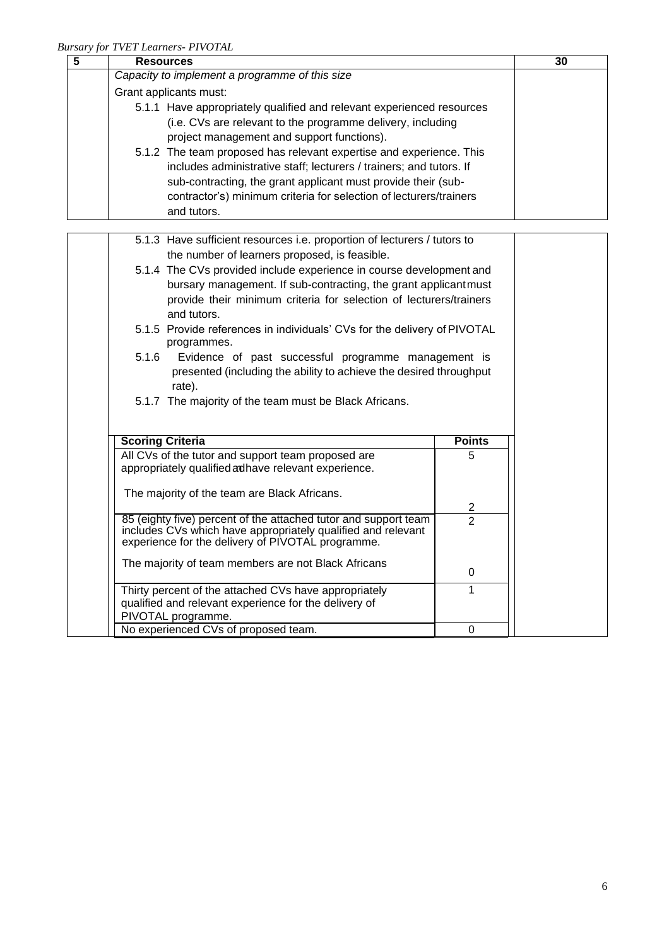| <b>Resources</b>                                                      | 30 |
|-----------------------------------------------------------------------|----|
| Capacity to implement a programme of this size                        |    |
| Grant applicants must:                                                |    |
| 5.1.1 Have appropriately qualified and relevant experienced resources |    |
| (i.e. CVs are relevant to the programme delivery, including           |    |
| project management and support functions).                            |    |
| 5.1.2 The team proposed has relevant expertise and experience. This   |    |
| includes administrative staff; lecturers / trainers; and tutors. If   |    |
| sub-contracting, the grant applicant must provide their (sub-         |    |
| contractor's) minimum criteria for selection of lecturers/trainers    |    |
| and tutors.                                                           |    |

| 5.1.3 Have sufficient resources i.e. proportion of lecturers / tutors to                |                                                                     |  |  |  |
|-----------------------------------------------------------------------------------------|---------------------------------------------------------------------|--|--|--|
| the number of learners proposed, is feasible.                                           |                                                                     |  |  |  |
|                                                                                         | 5.1.4 The CVs provided include experience in course development and |  |  |  |
|                                                                                         | bursary management. If sub-contracting, the grant applicant must    |  |  |  |
|                                                                                         | provide their minimum criteria for selection of lecturers/trainers  |  |  |  |
| and tutors.                                                                             |                                                                     |  |  |  |
| 5.1.5 Provide references in individuals' CVs for the delivery of PIVOTAL<br>programmes. |                                                                     |  |  |  |
| 5.1.6<br>Evidence of past successful programme management is                            |                                                                     |  |  |  |
| presented (including the ability to achieve the desired throughput                      |                                                                     |  |  |  |
| rate).                                                                                  |                                                                     |  |  |  |
| 5.1.7 The majority of the team must be Black Africans.                                  |                                                                     |  |  |  |
|                                                                                         |                                                                     |  |  |  |
|                                                                                         |                                                                     |  |  |  |
|                                                                                         |                                                                     |  |  |  |
| <b>Scoring Criteria</b>                                                                 | <b>Points</b>                                                       |  |  |  |
| All CVs of the tutor and support team proposed are                                      | 5                                                                   |  |  |  |
| appropriately qualified adhave relevant experience.                                     |                                                                     |  |  |  |
|                                                                                         |                                                                     |  |  |  |
| The majority of the team are Black Africans.                                            |                                                                     |  |  |  |
| 85 (eighty five) percent of the attached tutor and support team                         | $\overline{\mathbf{c}}$<br>$\overline{2}$                           |  |  |  |
| includes CVs which have appropriately qualified and relevant                            |                                                                     |  |  |  |
| experience for the delivery of PIVOTAL programme.                                       |                                                                     |  |  |  |
| The majority of team members are not Black Africans                                     |                                                                     |  |  |  |
|                                                                                         | 0                                                                   |  |  |  |
| Thirty percent of the attached CVs have appropriately                                   |                                                                     |  |  |  |
| qualified and relevant experience for the delivery of                                   |                                                                     |  |  |  |
| PIVOTAL programme.<br>No experienced CVs of proposed team.                              | $\Omega$                                                            |  |  |  |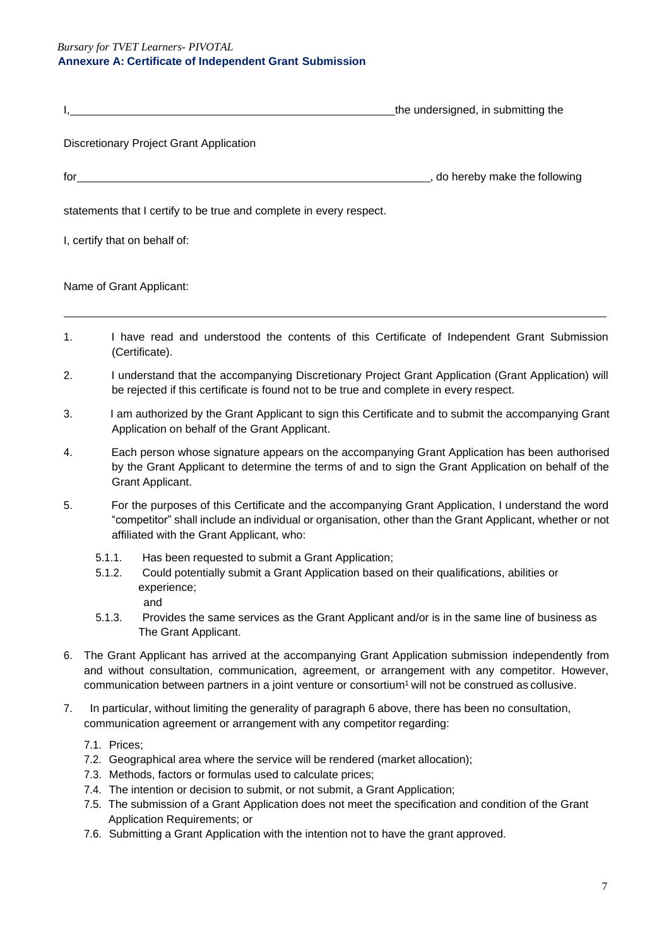*Bursary for TVET Learners- PIVOTAL*

#### **Annexure A: Certificate of Independent Grant Submission**

|                                                                                                                                                                                                                                                                                                | the undersigned, in submitting the |
|------------------------------------------------------------------------------------------------------------------------------------------------------------------------------------------------------------------------------------------------------------------------------------------------|------------------------------------|
| Discretionary Project Grant Application                                                                                                                                                                                                                                                        |                                    |
| $\int$ for $\frac{1}{\sqrt{2}}$ . The set of $\frac{1}{\sqrt{2}}$ is the set of $\frac{1}{\sqrt{2}}$ is the set of $\frac{1}{\sqrt{2}}$ is the set of $\frac{1}{\sqrt{2}}$ is the set of $\frac{1}{\sqrt{2}}$ is the set of $\frac{1}{\sqrt{2}}$ is the set of $\frac{1}{\sqrt{2}}$ is the set | _, do hereby make the following    |
| statements that I certify to be true and complete in every respect.                                                                                                                                                                                                                            |                                    |
| I, certify that on behalf of:                                                                                                                                                                                                                                                                  |                                    |
| Name of Grant Applicant:                                                                                                                                                                                                                                                                       |                                    |

- 1. I have read and understood the contents of this Certificate of Independent Grant Submission (Certificate).
- 2. I understand that the accompanying Discretionary Project Grant Application (Grant Application) will be rejected if this certificate is found not to be true and complete in every respect.
- 3. I am authorized by the Grant Applicant to sign this Certificate and to submit the accompanying Grant Application on behalf of the Grant Applicant.
- 4. Each person whose signature appears on the accompanying Grant Application has been authorised by the Grant Applicant to determine the terms of and to sign the Grant Application on behalf of the Grant Applicant.
- 5. For the purposes of this Certificate and the accompanying Grant Application, I understand the word "competitor" shall include an individual or organisation, other than the Grant Applicant, whether or not affiliated with the Grant Applicant, who:
	- 5.1.1. Has been requested to submit a Grant Application;
	- 5.1.2. Could potentially submit a Grant Application based on their qualifications, abilities or experience; and
	- 5.1.3. Provides the same services as the Grant Applicant and/or is in the same line of business as The Grant Applicant.
- 6. The Grant Applicant has arrived at the accompanying Grant Application submission independently from and without consultation, communication, agreement, or arrangement with any competitor. However, communication between partners in a joint venture or consortium<sup>1</sup> will not be construed as collusive.
- 7. In particular, without limiting the generality of paragraph 6 above, there has been no consultation, communication agreement or arrangement with any competitor regarding:

7.1. Prices;

- 7.2. Geographical area where the service will be rendered (market allocation);
- 7.3. Methods, factors or formulas used to calculate prices;
- 7.4. The intention or decision to submit, or not submit, a Grant Application;
- 7.5. The submission of a Grant Application does not meet the specification and condition of the Grant Application Requirements; or
- 7.6. Submitting a Grant Application with the intention not to have the grant approved.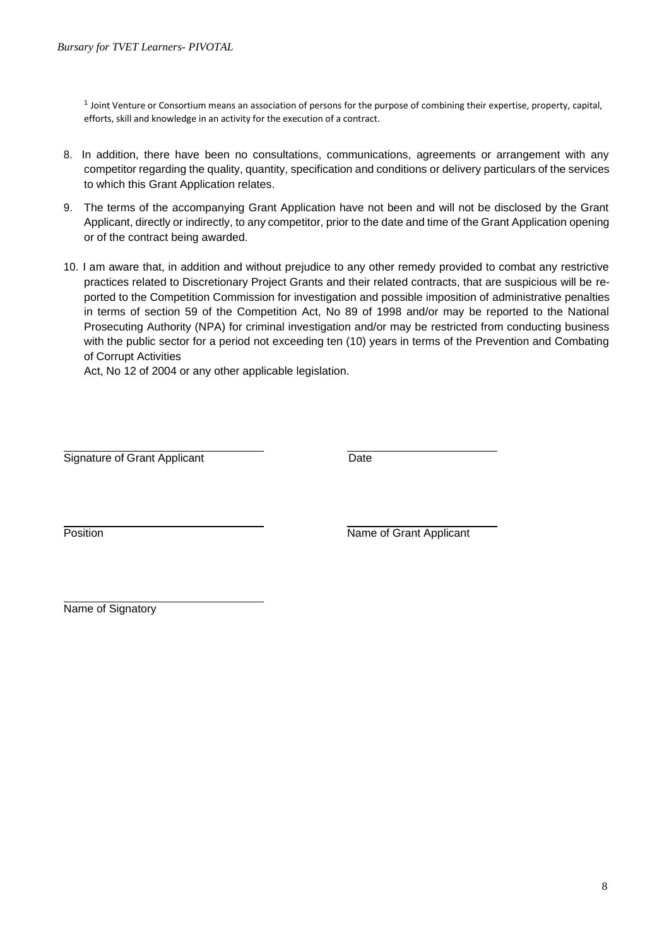1 Joint Venture or Consortium means an association of persons for the purpose of combining their expertise, property, capital, efforts, skill and knowledge in an activity for the execution of a contract.

- 8. In addition, there have been no consultations, communications, agreements or arrangement with any competitor regarding the quality, quantity, specification and conditions or delivery particulars of the services to which this Grant Application relates.
- 9. The terms of the accompanying Grant Application have not been and will not be disclosed by the Grant Applicant, directly or indirectly, to any competitor, prior to the date and time of the Grant Application opening or of the contract being awarded.
- 10. I am aware that, in addition and without prejudice to any other remedy provided to combat any restrictive practices related to Discretionary Project Grants and their related contracts, that are suspicious will be reported to the Competition Commission for investigation and possible imposition of administrative penalties in terms of section 59 of the Competition Act, No 89 of 1998 and/or may be reported to the National Prosecuting Authority (NPA) for criminal investigation and/or may be restricted from conducting business with the public sector for a period not exceeding ten (10) years in terms of the Prevention and Combating of Corrupt Activities

Act, No 12 of 2004 or any other applicable legislation.

Signature of Grant Applicant Date

Position **Name of Grant Applicant** 

Name of Signatory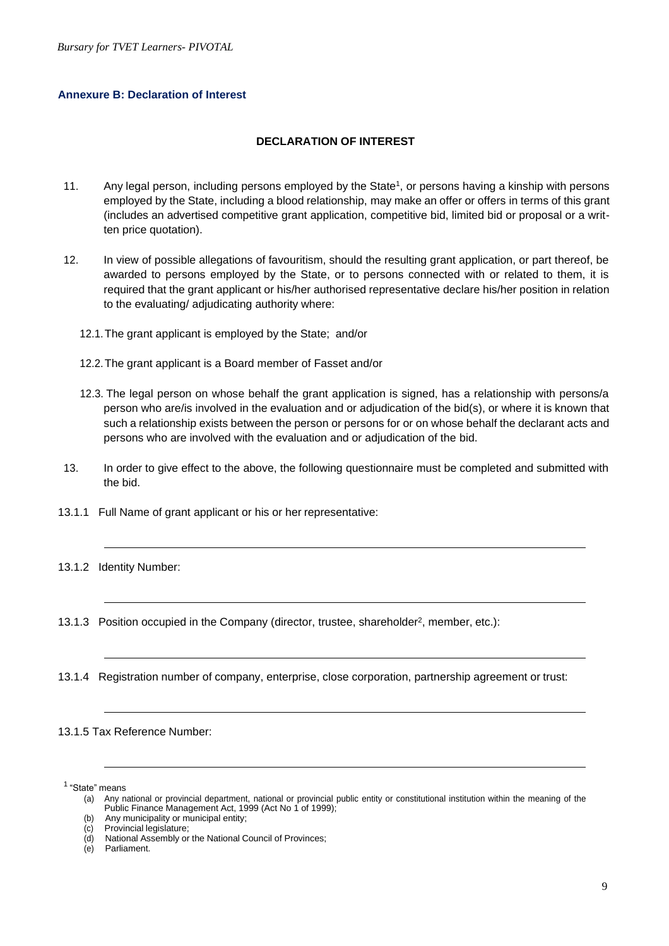#### **Annexure B: Declaration of Interest**

#### **DECLARATION OF INTEREST**

- 11. Any legal person, including persons employed by the State<sup>1</sup>, or persons having a kinship with persons employed by the State, including a blood relationship, may make an offer or offers in terms of this grant (includes an advertised competitive grant application, competitive bid, limited bid or proposal or a written price quotation).
- 12. In view of possible allegations of favouritism, should the resulting grant application, or part thereof, be awarded to persons employed by the State, or to persons connected with or related to them, it is required that the grant applicant or his/her authorised representative declare his/her position in relation to the evaluating/ adjudicating authority where:
	- 12.1.The grant applicant is employed by the State; and/or
	- 12.2.The grant applicant is a Board member of Fasset and/or
	- 12.3. The legal person on whose behalf the grant application is signed, has a relationship with persons/a person who are/is involved in the evaluation and or adjudication of the bid(s), or where it is known that such a relationship exists between the person or persons for or on whose behalf the declarant acts and persons who are involved with the evaluation and or adjudication of the bid.
- 13. In order to give effect to the above, the following questionnaire must be completed and submitted with the bid.
- 13.1.1 Full Name of grant applicant or his or her representative:
- 13.1.2 Identity Number:
- 13.1.3 Position occupied in the Company (director, trustee, shareholder<sup>2</sup>, member, etc.):
- 13.1.4 Registration number of company, enterprise, close corporation, partnership agreement or trust:

#### 13.1.5 Tax Reference Number:

<sup>1</sup> "State" means

<sup>(</sup>a) Any national or provincial department, national or provincial public entity or constitutional institution within the meaning of the Public Finance Management Act, 1999 (Act No 1 of 1999);

<sup>(</sup>b) Any municipality or municipal entity;

<sup>(</sup>c) Provincial legislature;

<sup>(</sup>d) National Assembly or the National Council of Provinces;

Parliament.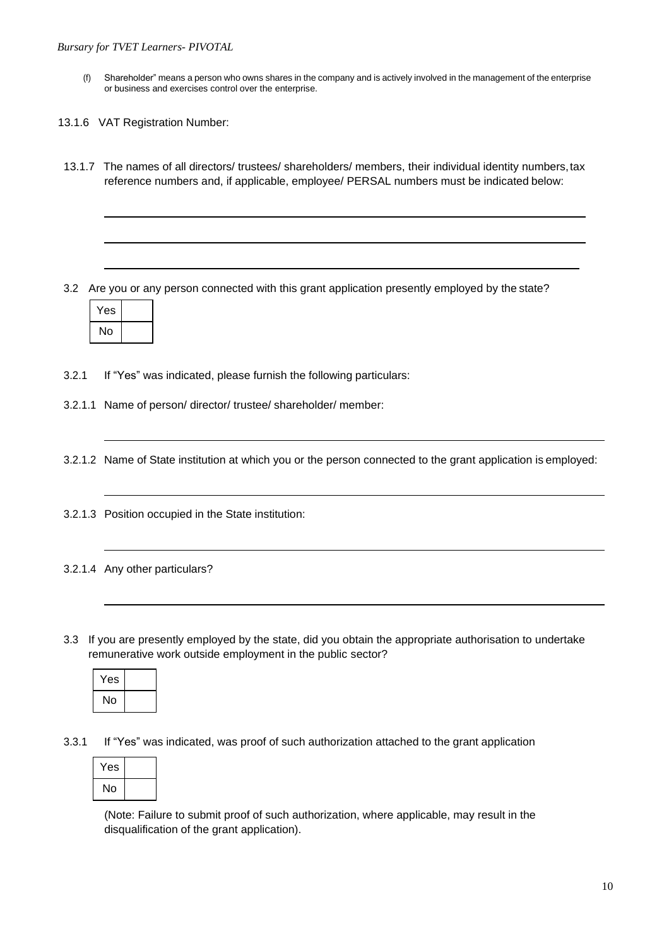- (f) Shareholder" means a person who owns shares in the company and is actively involved in the management of the enterprise or business and exercises control over the enterprise.
- 13.1.6 VAT Registration Number:
- 13.1.7 The names of all directors/ trustees/ shareholders/ members, their individual identity numbers,tax reference numbers and, if applicable, employee/ PERSAL numbers must be indicated below:

3.2 Are you or any person connected with this grant application presently employed by the state?



3.2.1 If "Yes" was indicated, please furnish the following particulars:

3.2.1.1 Name of person/ director/ trustee/ shareholder/ member:

3.2.1.2 Name of State institution at which you or the person connected to the grant application is employed:

3.2.1.3 Position occupied in the State institution:

#### 3.2.1.4 Any other particulars?

3.3 If you are presently employed by the state, did you obtain the appropriate authorisation to undertake remunerative work outside employment in the public sector?



3.3.1 If "Yes" was indicated, was proof of such authorization attached to the grant application

| Yes |  |
|-----|--|
| No  |  |

(Note: Failure to submit proof of such authorization, where applicable, may result in the disqualification of the grant application).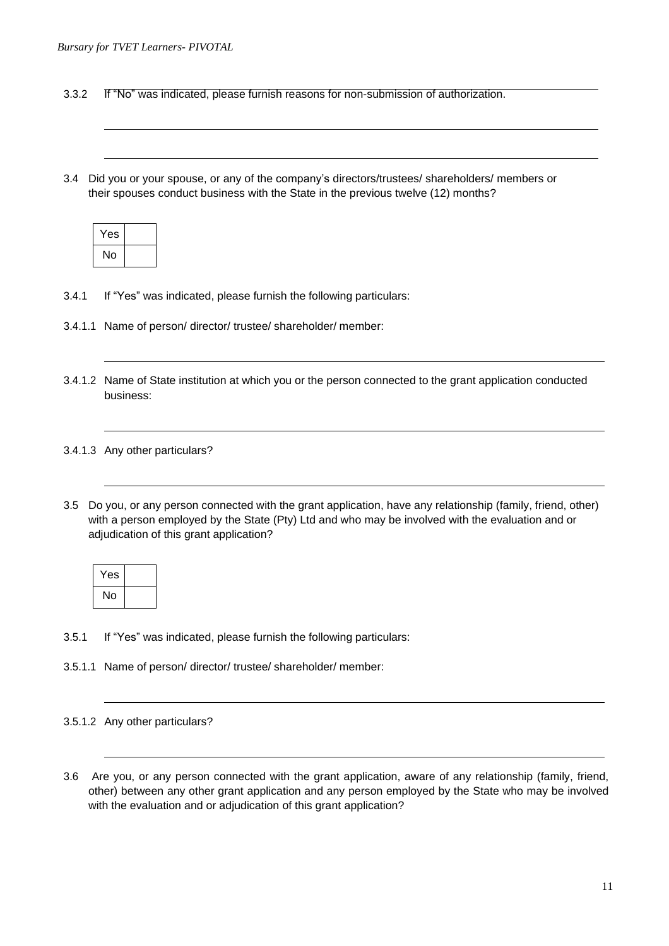3.3.2 If "No" was indicated, please furnish reasons for non-submission of authorization.

3.4 Did you or your spouse, or any of the company's directors/trustees/ shareholders/ members or their spouses conduct business with the State in the previous twelve (12) months?

| Yes |  |
|-----|--|
| No  |  |

- 3.4.1 If "Yes" was indicated, please furnish the following particulars:
- 3.4.1.1 Name of person/ director/ trustee/ shareholder/ member:
- 3.4.1.2 Name of State institution at which you or the person connected to the grant application conducted business:

#### 3.4.1.3 Any other particulars?

3.5 Do you, or any person connected with the grant application, have any relationship (family, friend, other) with a person employed by the State (Pty) Ltd and who may be involved with the evaluation and or adjudication of this grant application?

| Yes |  |
|-----|--|
| No  |  |

- 3.5.1 If "Yes" was indicated, please furnish the following particulars:
- 3.5.1.1 Name of person/ director/ trustee/ shareholder/ member:
- 3.5.1.2 Any other particulars?
- 3.6 Are you, or any person connected with the grant application, aware of any relationship (family, friend, other) between any other grant application and any person employed by the State who may be involved with the evaluation and or adjudication of this grant application?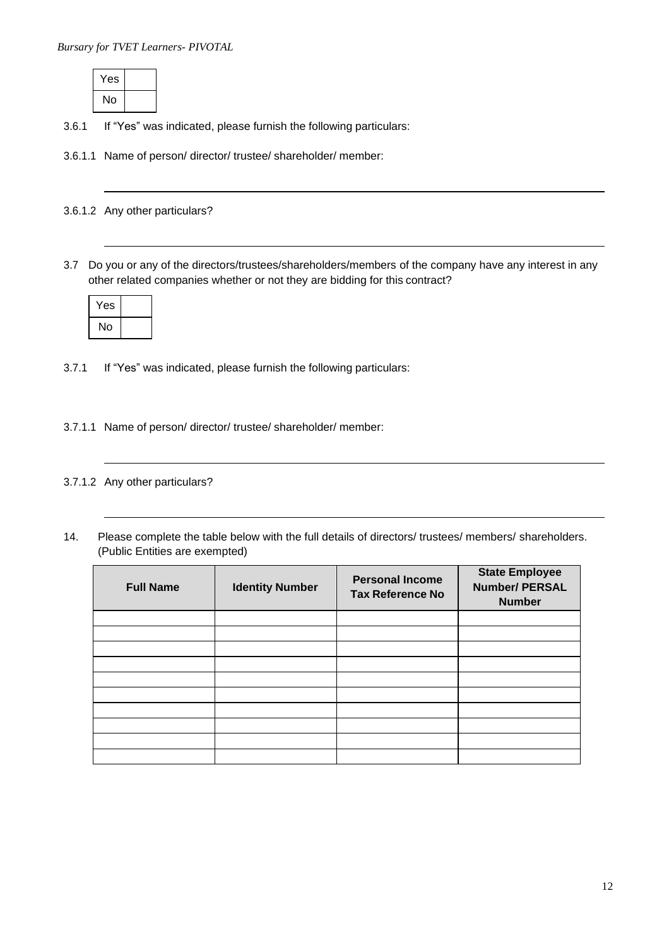| Yes |  |
|-----|--|
| No  |  |

- 3.6.1 If "Yes" was indicated, please furnish the following particulars:
- 3.6.1.1 Name of person/ director/ trustee/ shareholder/ member:

## 3.6.1.2 Any other particulars?

3.7 Do you or any of the directors/trustees/shareholders/members of the company have any interest in any other related companies whether or not they are bidding for this contract?

| Yes |  |
|-----|--|
| No  |  |

- 3.7.1 If "Yes" was indicated, please furnish the following particulars:
- 3.7.1.1 Name of person/ director/ trustee/ shareholder/ member:

# 3.7.1.2 Any other particulars?

14. Please complete the table below with the full details of directors/ trustees/ members/ shareholders. (Public Entities are exempted)

| <b>Full Name</b> | <b>Identity Number</b> | <b>Personal Income</b><br><b>Tax Reference No</b> | <b>State Employee</b><br><b>Number/ PERSAL</b><br><b>Number</b> |
|------------------|------------------------|---------------------------------------------------|-----------------------------------------------------------------|
|                  |                        |                                                   |                                                                 |
|                  |                        |                                                   |                                                                 |
|                  |                        |                                                   |                                                                 |
|                  |                        |                                                   |                                                                 |
|                  |                        |                                                   |                                                                 |
|                  |                        |                                                   |                                                                 |
|                  |                        |                                                   |                                                                 |
|                  |                        |                                                   |                                                                 |
|                  |                        |                                                   |                                                                 |
|                  |                        |                                                   |                                                                 |